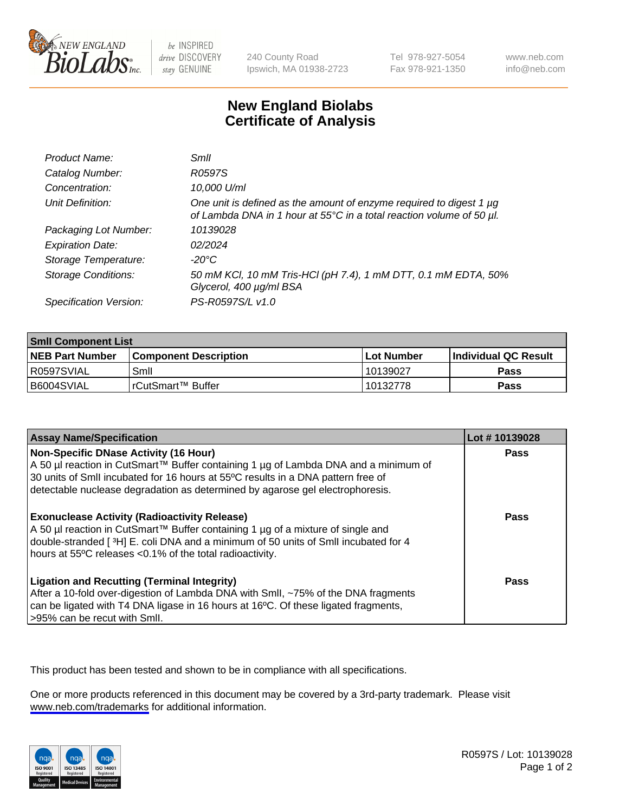

be INSPIRED drive DISCOVERY stay GENUINE

240 County Road Ipswich, MA 01938-2723 Tel 978-927-5054 Fax 978-921-1350

www.neb.com info@neb.com

## **New England Biolabs Certificate of Analysis**

| Product Name:              | Smil                                                                                                                                        |
|----------------------------|---------------------------------------------------------------------------------------------------------------------------------------------|
| Catalog Number:            | R0597S                                                                                                                                      |
| Concentration:             | 10,000 U/ml                                                                                                                                 |
| Unit Definition:           | One unit is defined as the amount of enzyme required to digest 1 µg<br>of Lambda DNA in 1 hour at 55°C in a total reaction volume of 50 µl. |
| Packaging Lot Number:      | 10139028                                                                                                                                    |
| <b>Expiration Date:</b>    | 02/2024                                                                                                                                     |
| Storage Temperature:       | -20°C                                                                                                                                       |
| <b>Storage Conditions:</b> | 50 mM KCl, 10 mM Tris-HCl (pH 7.4), 1 mM DTT, 0.1 mM EDTA, 50%<br>Glycerol, 400 µg/ml BSA                                                   |
| Specification Version:     | PS-R0597S/L v1.0                                                                                                                            |

| <b>Smil Component List</b> |                              |              |                       |  |
|----------------------------|------------------------------|--------------|-----------------------|--|
| <b>NEB Part Number</b>     | <b>Component Description</b> | l Lot Number | ∣Individual QC Result |  |
| R0597SVIAL                 | Smil                         | 10139027     | Pass                  |  |
| B6004SVIAL                 | l rCutSmart™ Buffer          | 10132778     | Pass                  |  |

| <b>Assay Name/Specification</b>                                                                                                                                                                                                                                                                          | Lot #10139028 |
|----------------------------------------------------------------------------------------------------------------------------------------------------------------------------------------------------------------------------------------------------------------------------------------------------------|---------------|
| <b>Non-Specific DNase Activity (16 Hour)</b><br>A 50 µl reaction in CutSmart™ Buffer containing 1 µg of Lambda DNA and a minimum of<br>30 units of Smll incubated for 16 hours at 55°C results in a DNA pattern free of<br>detectable nuclease degradation as determined by agarose gel electrophoresis. | Pass          |
| <b>Exonuclease Activity (Radioactivity Release)</b><br>A 50 µl reaction in CutSmart™ Buffer containing 1 µg of a mixture of single and<br>double-stranded [3H] E. coli DNA and a minimum of 50 units of SmII incubated for 4<br>hours at 55°C releases <0.1% of the total radioactivity.                 | <b>Pass</b>   |
| <b>Ligation and Recutting (Terminal Integrity)</b><br>After a 10-fold over-digestion of Lambda DNA with Smll, ~75% of the DNA fragments<br>can be ligated with T4 DNA ligase in 16 hours at 16°C. Of these ligated fragments,<br>>95% can be recut with Smll.                                            | Pass          |

This product has been tested and shown to be in compliance with all specifications.

One or more products referenced in this document may be covered by a 3rd-party trademark. Please visit <www.neb.com/trademarks>for additional information.